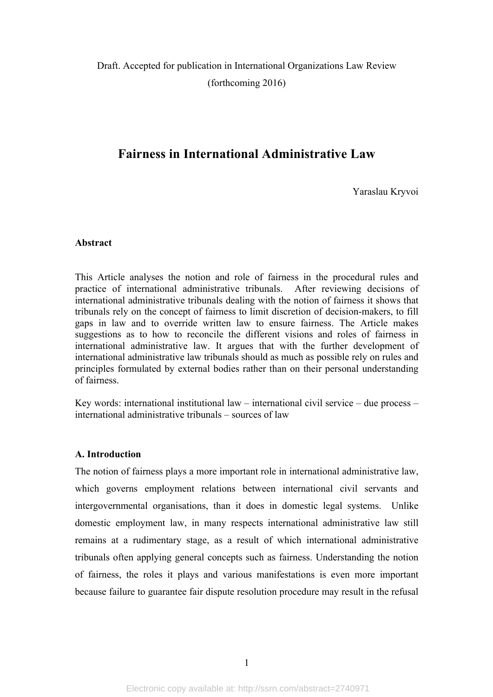Draft. Accepted for publication in International Organizations Law Review (forthcoming 2016)

# **Fairness in International Administrative Law**

Yaraslau Kryvoi

#### **Abstract**

This Article analyses the notion and role of fairness in the procedural rules and practice of international administrative tribunals. After reviewing decisions of international administrative tribunals dealing with the notion of fairness it shows that tribunals rely on the concept of fairness to limit discretion of decision-makers, to fill gaps in law and to override written law to ensure fairness. The Article makes suggestions as to how to reconcile the different visions and roles of fairness in international administrative law. It argues that with the further development of international administrative law tribunals should as much as possible rely on rules and principles formulated by external bodies rather than on their personal understanding of fairness.

Key words: international institutional law – international civil service – due process – international administrative tribunals – sources of law

#### **A. Introduction**

The notion of fairness plays a more important role in international administrative law, which governs employment relations between international civil servants and intergovernmental organisations, than it does in domestic legal systems. Unlike domestic employment law, in many respects international administrative law still remains at a rudimentary stage, as a result of which international administrative tribunals often applying general concepts such as fairness. Understanding the notion of fairness, the roles it plays and various manifestations is even more important because failure to guarantee fair dispute resolution procedure may result in the refusal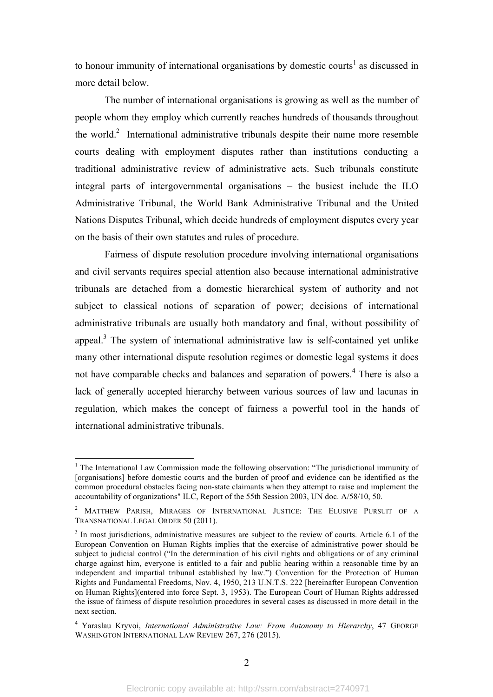to honour immunity of international organisations by domestic courts<sup>1</sup> as discussed in more detail below.

The number of international organisations is growing as well as the number of people whom they employ which currently reaches hundreds of thousands throughout the world. $\alpha$  International administrative tribunals despite their name more resemble courts dealing with employment disputes rather than institutions conducting a traditional administrative review of administrative acts. Such tribunals constitute integral parts of intergovernmental organisations – the busiest include the ILO Administrative Tribunal, the World Bank Administrative Tribunal and the United Nations Disputes Tribunal, which decide hundreds of employment disputes every year on the basis of their own statutes and rules of procedure.

Fairness of dispute resolution procedure involving international organisations and civil servants requires special attention also because international administrative tribunals are detached from a domestic hierarchical system of authority and not subject to classical notions of separation of power; decisions of international administrative tribunals are usually both mandatory and final, without possibility of appeal.<sup>3</sup> The system of international administrative law is self-contained vet unlike many other international dispute resolution regimes or domestic legal systems it does not have comparable checks and balances and separation of powers. <sup>4</sup> There is also a lack of generally accepted hierarchy between various sources of law and lacunas in regulation, which makes the concept of fairness a powerful tool in the hands of international administrative tribunals.

<sup>&</sup>lt;sup>1</sup> The International Law Commission made the following observation: "The jurisdictional immunity of [organisations] before domestic courts and the burden of proof and evidence can be identified as the common procedural obstacles facing non-state claimants when they attempt to raise and implement the accountability of organizations" ILC, Report of the 55th Session 2003, UN doc. A/58/10, 50.

<sup>2</sup> MATTHEW PARISH, MIRAGES OF INTERNATIONAL JUSTICE: THE ELUSIVE PURSUIT OF A TRANSNATIONAL LEGAL ORDER 50 (2011).

<sup>&</sup>lt;sup>3</sup> In most jurisdictions, administrative measures are subject to the review of courts. Article 6.1 of the European Convention on Human Rights implies that the exercise of administrative power should be subject to judicial control ("In the determination of his civil rights and obligations or of any criminal charge against him, everyone is entitled to a fair and public hearing within a reasonable time by an independent and impartial tribunal established by law.") Convention for the Protection of Human Rights and Fundamental Freedoms, Nov. 4, 1950, 213 U.N.T.S. 222 [hereinafter European Convention on Human Rights](entered into force Sept. 3, 1953). The European Court of Human Rights addressed the issue of fairness of dispute resolution procedures in several cases as discussed in more detail in the next section.

<sup>4</sup> Yaraslau Kryvoi, *International Administrative Law: From Autonomy to Hierarchy*, 47 GEORGE WASHINGTON INTERNATIONAL LAW REVIEW 267, 276 (2015).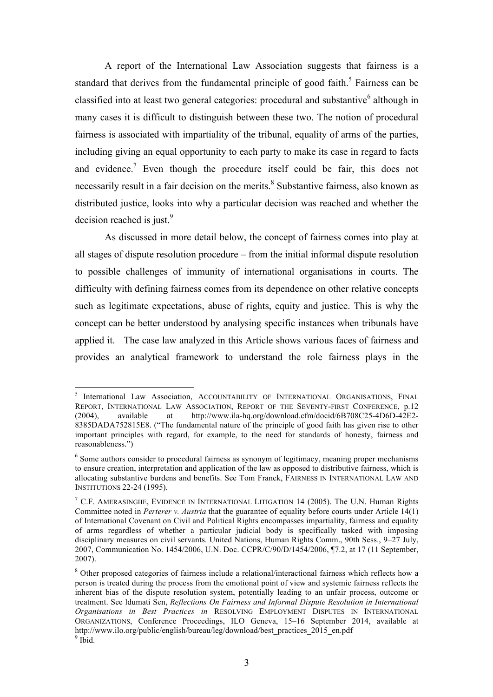A report of the International Law Association suggests that fairness is a standard that derives from the fundamental principle of good faith.<sup>5</sup> Fairness can be classified into at least two general categories: procedural and substantive<sup>6</sup> although in many cases it is difficult to distinguish between these two. The notion of procedural fairness is associated with impartiality of the tribunal, equality of arms of the parties, including giving an equal opportunity to each party to make its case in regard to facts and evidence.<sup>7</sup> Even though the procedure itself could be fair, this does not necessarily result in a fair decision on the merits.<sup>8</sup> Substantive fairness, also known as distributed justice, looks into why a particular decision was reached and whether the decision reached is just. $9$ 

As discussed in more detail below, the concept of fairness comes into play at all stages of dispute resolution procedure – from the initial informal dispute resolution to possible challenges of immunity of international organisations in courts. The difficulty with defining fairness comes from its dependence on other relative concepts such as legitimate expectations, abuse of rights, equity and justice. This is why the concept can be better understood by analysing specific instances when tribunals have applied it. The case law analyzed in this Article shows various faces of fairness and provides an analytical framework to understand the role fairness plays in the

 <sup>5</sup> International Law Association, ACCOUNTABILITY OF INTERNATIONAL ORGANISATIONS, FINAL REPORT, INTERNATIONAL LAW ASSOCIATION, REPORT OF THE SEVENTY-FIRST CONFERENCE, p.12 (2004), available at http://www.ila-hq.org/download.cfm/docid/6B708C25-4D6D-42E2- 8385DADA752815E8. ("The fundamental nature of the principle of good faith has given rise to other important principles with regard, for example, to the need for standards of honesty, fairness and reasonableness.")

<sup>&</sup>lt;sup>6</sup> Some authors consider to procedural fairness as synonym of legitimacy, meaning proper mechanisms to ensure creation, interpretation and application of the law as opposed to distributive fairness, which is allocating substantive burdens and benefits. See Tom Franck, FAIRNESS IN INTERNATIONAL LAW AND INSTITUTIONS 22-24 (1995).

<sup>&</sup>lt;sup>7</sup> C.F. AMERASINGHE, EVIDENCE IN INTERNATIONAL LITIGATION 14 (2005). The U.N. Human Rights Committee noted in *Perterer v. Austria* that the guarantee of equality before courts under Article 14(1) of International Covenant on Civil and Political Rights encompasses impartiality, fairness and equality of arms regardless of whether a particular judicial body is specifically tasked with imposing disciplinary measures on civil servants. United Nations, Human Rights Comm., 90th Sess., 9–27 July, 2007, Communication No. 1454/2006, U.N. Doc. CCPR/C/90/D/1454/2006, ¶7.2, at 17 (11 September, 2007).

<sup>8</sup> Other proposed categories of fairness include a relational/interactional fairness which reflects how a person is treated during the process from the emotional point of view and systemic fairness reflects the inherent bias of the dispute resolution system, potentially leading to an unfair process, outcome or treatment. See ldumati Sen, *Reflections On Fairness and Informal Dispute Resolution in International Organisations in Best Practices in* RESOLVING EMPLOYMENT DISPUTES IN INTERNATIONAL ORGANIZATIONS, Conference Proceedings, ILO Geneva, 15–16 September 2014, available at http://www.ilo.org/public/english/bureau/leg/download/best\_practices\_2015\_en.pdf  $9$  Ibid.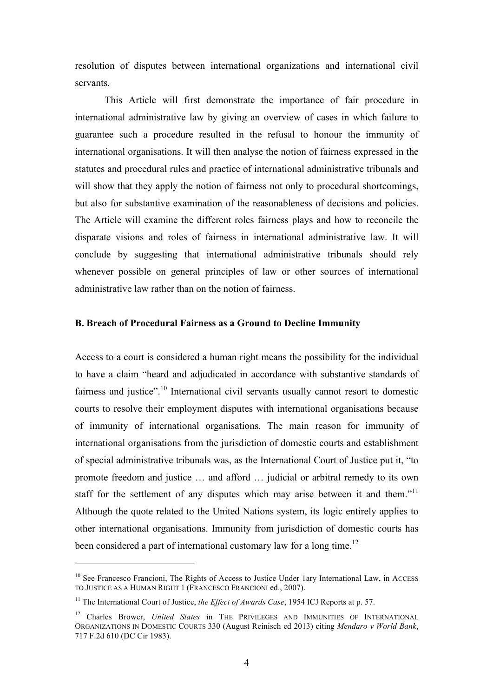resolution of disputes between international organizations and international civil servants.

This Article will first demonstrate the importance of fair procedure in international administrative law by giving an overview of cases in which failure to guarantee such a procedure resulted in the refusal to honour the immunity of international organisations. It will then analyse the notion of fairness expressed in the statutes and procedural rules and practice of international administrative tribunals and will show that they apply the notion of fairness not only to procedural shortcomings, but also for substantive examination of the reasonableness of decisions and policies. The Article will examine the different roles fairness plays and how to reconcile the disparate visions and roles of fairness in international administrative law. It will conclude by suggesting that international administrative tribunals should rely whenever possible on general principles of law or other sources of international administrative law rather than on the notion of fairness.

### **B. Breach of Procedural Fairness as a Ground to Decline Immunity**

Access to a court is considered a human right means the possibility for the individual to have a claim "heard and adjudicated in accordance with substantive standards of fairness and justice".<sup>10</sup> International civil servants usually cannot resort to domestic courts to resolve their employment disputes with international organisations because of immunity of international organisations. The main reason for immunity of international organisations from the jurisdiction of domestic courts and establishment of special administrative tribunals was, as the International Court of Justice put it, "to promote freedom and justice … and afford … judicial or arbitral remedy to its own staff for the settlement of any disputes which may arise between it and them."<sup>11</sup> Although the quote related to the United Nations system, its logic entirely applies to other international organisations. Immunity from jurisdiction of domestic courts has been considered a part of international customary law for a long time.<sup>12</sup>

 $\overline{a}$ 

<sup>&</sup>lt;sup>10</sup> See Francesco Francioni, The Rights of Access to Justice Under 1ary International Law, in ACCESS TO JUSTICE AS A HUMAN RIGHT 1 (FRANCESCO FRANCIONI ed., 2007).

<sup>&</sup>lt;sup>11</sup> The International Court of Justice, *the Effect of Awards Case*, 1954 ICJ Reports at p. 57.

<sup>&</sup>lt;sup>12</sup> Charles Brower, *United States* in THE PRIVILEGES AND IMMUNITIES OF INTERNATIONAL ORGANIZATIONS IN DOMESTIC COURTS 330 (August Reinisch ed 2013) citing *Mendaro v World Bank*, 717 F.2d 610 (DC Cir 1983).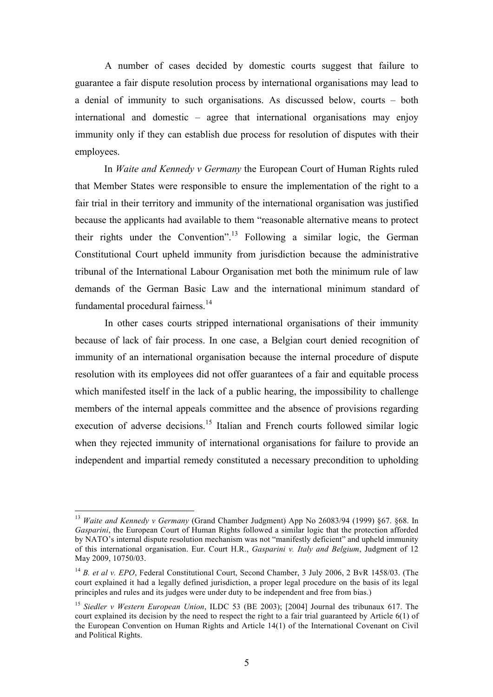A number of cases decided by domestic courts suggest that failure to guarantee a fair dispute resolution process by international organisations may lead to a denial of immunity to such organisations. As discussed below, courts – both international and domestic – agree that international organisations may enjoy immunity only if they can establish due process for resolution of disputes with their employees.

In *Waite and Kennedy v Germany* the European Court of Human Rights ruled that Member States were responsible to ensure the implementation of the right to a fair trial in their territory and immunity of the international organisation was justified because the applicants had available to them "reasonable alternative means to protect their rights under the Convention".<sup>13</sup> Following a similar logic, the German Constitutional Court upheld immunity from jurisdiction because the administrative tribunal of the International Labour Organisation met both the minimum rule of law demands of the German Basic Law and the international minimum standard of fundamental procedural fairness.<sup>14</sup>

In other cases courts stripped international organisations of their immunity because of lack of fair process. In one case, a Belgian court denied recognition of immunity of an international organisation because the internal procedure of dispute resolution with its employees did not offer guarantees of a fair and equitable process which manifested itself in the lack of a public hearing, the impossibility to challenge members of the internal appeals committee and the absence of provisions regarding execution of adverse decisions.<sup>15</sup> Italian and French courts followed similar logic when they rejected immunity of international organisations for failure to provide an independent and impartial remedy constituted a necessary precondition to upholding

 <sup>13</sup> *Waite and Kennedy v Germany* (Grand Chamber Judgment) App No 26083/94 (1999) §67. §68. In *Gasparini*, the European Court of Human Rights followed a similar logic that the protection afforded by NATO's internal dispute resolution mechanism was not "manifestly deficient" and upheld immunity of this international organisation. Eur. Court H.R., *Gasparini v. Italy and Belgium*, Judgment of 12 May 2009, 10750/03.

<sup>&</sup>lt;sup>14</sup> B. et al v. EPO, Federal Constitutional Court, Second Chamber, 3 July 2006, 2 BvR 1458/03. (The court explained it had a legally defined jurisdiction, a proper legal procedure on the basis of its legal principles and rules and its judges were under duty to be independent and free from bias.)

<sup>15</sup> *Siedler v Western European Union*, ILDC 53 (BE 2003); [2004] Journal des tribunaux 617. The court explained its decision by the need to respect the right to a fair trial guaranteed by Article 6(1) of the European Convention on Human Rights and Article 14(1) of the International Covenant on Civil and Political Rights.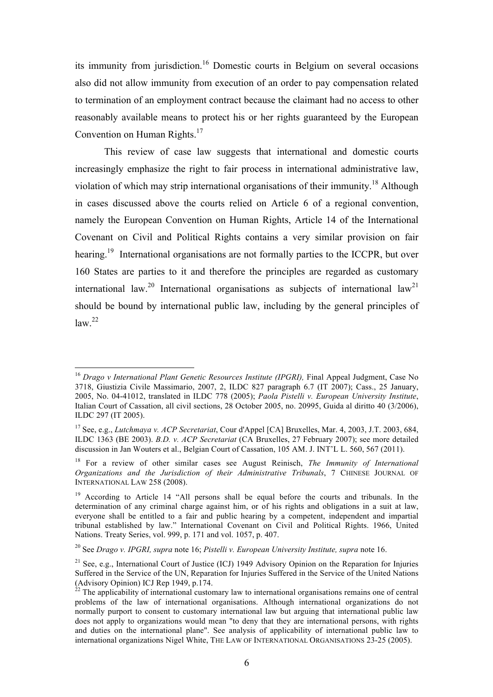its immunity from jurisdiction.<sup>16</sup> Domestic courts in Belgium on several occasions also did not allow immunity from execution of an order to pay compensation related to termination of an employment contract because the claimant had no access to other reasonably available means to protect his or her rights guaranteed by the European Convention on Human Rights.<sup>17</sup>

This review of case law suggests that international and domestic courts increasingly emphasize the right to fair process in international administrative law, violation of which may strip international organisations of their immunity.<sup>18</sup> Although in cases discussed above the courts relied on Article 6 of a regional convention, namely the European Convention on Human Rights, Article 14 of the International Covenant on Civil and Political Rights contains a very similar provision on fair hearing.<sup>19</sup> International organisations are not formally parties to the ICCPR, but over 160 States are parties to it and therefore the principles are regarded as customary international law.<sup>20</sup> International organisations as subjects of international law<sup>21</sup> should be bound by international public law, including by the general principles of  $law.<sup>22</sup>$ 

<sup>&</sup>lt;sup>16</sup> *Drago v International Plant Genetic Resources Institute (IPGRI)*, Final Appeal Judgment, Case No 3718, Giustizia Civile Massimario, 2007, 2, ILDC 827 paragraph 6.7 (IT 2007); Cass., 25 January, 2005, No. 04-41012, translated in ILDC 778 (2005); *Paola Pistelli v. European University Institute*, Italian Court of Cassation, all civil sections, 28 October 2005, no. 20995, Guida al diritto 40 (3/2006), ILDC 297 (IT 2005).

<sup>17</sup> See, e.g., *Lutchmaya v. ACP Secretariat*, Cour d'Appel [CA] Bruxelles, Mar. 4, 2003, J.T. 2003, 684, ILDC 1363 (BE 2003). *B.D. v. ACP Secretariat* (CA Bruxelles, 27 February 2007); see more detailed discussion in Jan Wouters et al., Belgian Court of Cassation, 105 AM. J. INT'L L. 560, 567 (2011).

<sup>18</sup> For a review of other similar cases see August Reinisch, *The Immunity of International Organizations and the Jurisdiction of their Administrative Tribunals*, 7 CHINESE JOURNAL OF INTERNATIONAL LAW 258 (2008).

<sup>&</sup>lt;sup>19</sup> According to Article 14 "All persons shall be equal before the courts and tribunals. In the determination of any criminal charge against him, or of his rights and obligations in a suit at law, everyone shall be entitled to a fair and public hearing by a competent, independent and impartial tribunal established by law." International Covenant on Civil and Political Rights. 1966, United Nations. Treaty Series, vol. 999, p. 171 and vol. 1057, p. 407.

<sup>20</sup> See *Drago v. IPGRI, supra* note 16; *Pistelli v. European University Institute, supra* note 16.

<sup>&</sup>lt;sup>21</sup> See, e.g., International Court of Justice (ICJ) 1949 Advisory Opinion on the Reparation for Injuries Suffered in the Service of the UN, Reparation for Injuries Suffered in the Service of the United Nations (Advisory Opinion) ICJ Rep 1949, p.174.

 $^{22}$  The applicability of international customary law to international organisations remains one of central problems of the law of international organisations. Although international organizations do not normally purport to consent to customary international law but arguing that international public law does not apply to organizations would mean "to deny that they are international persons, with rights and duties on the international plane". See analysis of applicability of international public law to international organizations Nigel White, THE LAW OF INTERNATIONAL ORGANISATIONS 23-25 (2005).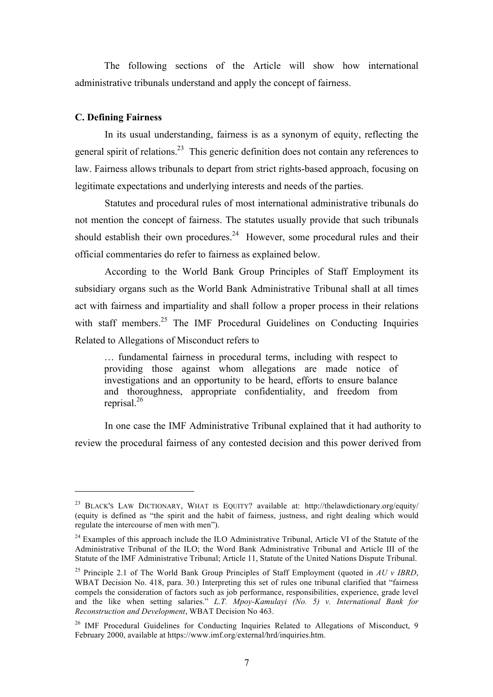The following sections of the Article will show how international administrative tribunals understand and apply the concept of fairness.

## **C. Defining Fairness**

 $\overline{a}$ 

In its usual understanding, fairness is as a synonym of equity, reflecting the general spirit of relations.<sup>23</sup> This generic definition does not contain any references to law. Fairness allows tribunals to depart from strict rights-based approach, focusing on legitimate expectations and underlying interests and needs of the parties.

Statutes and procedural rules of most international administrative tribunals do not mention the concept of fairness. The statutes usually provide that such tribunals should establish their own procedures.<sup>24</sup> However, some procedural rules and their official commentaries do refer to fairness as explained below.

According to the World Bank Group Principles of Staff Employment its subsidiary organs such as the World Bank Administrative Tribunal shall at all times act with fairness and impartiality and shall follow a proper process in their relations with staff members.<sup>25</sup> The IMF Procedural Guidelines on Conducting Inquiries Related to Allegations of Misconduct refers to

… fundamental fairness in procedural terms, including with respect to providing those against whom allegations are made notice of investigations and an opportunity to be heard, efforts to ensure balance and thoroughness, appropriate confidentiality, and freedom from reprisal. 26

In one case the IMF Administrative Tribunal explained that it had authority to review the procedural fairness of any contested decision and this power derived from

<sup>&</sup>lt;sup>23</sup> BLACK'S LAW DICTIONARY, WHAT IS EQUITY? available at: http://thelawdictionary.org/equity/ (equity is defined as "the spirit and the habit of fairness, justness, and right dealing which would regulate the intercourse of men with men").

<sup>&</sup>lt;sup>24</sup> Examples of this approach include the ILO Administrative Tribunal, Article VI of the Statute of the Administrative Tribunal of the ILO; the Word Bank Administrative Tribunal and Article III of the Statute of the IMF Administrative Tribunal; Article 11, Statute of the United Nations Dispute Tribunal.

<sup>25</sup> Principle 2.1 of The World Bank Group Principles of Staff Employment (quoted in *AU v IBRD*, WBAT Decision No. 418, para. 30.) Interpreting this set of rules one tribunal clarified that "fairness" compels the consideration of factors such as job performance, responsibilities, experience, grade level and the like when setting salaries." *L.T. Mpoy-Kamulayi (No. 5) v. International Bank for Reconstruction and Development*, WBAT Decision No 463.

 $26$  IMF Procedural Guidelines for Conducting Inquiries Related to Allegations of Misconduct, 9 February 2000, available at https://www.imf.org/external/hrd/inquiries.htm.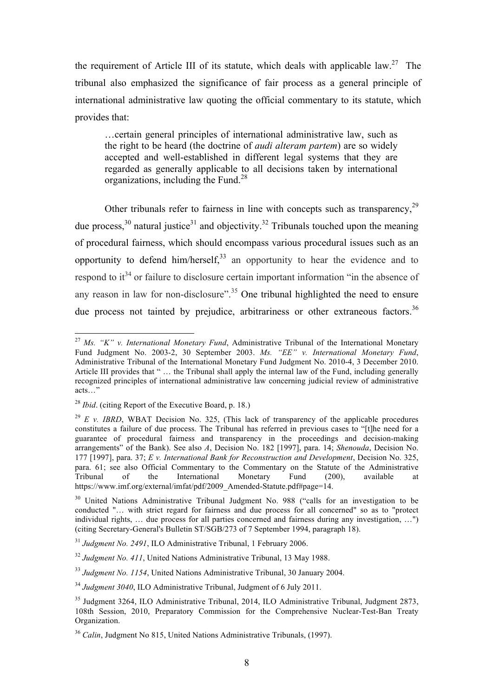the requirement of Article III of its statute, which deals with applicable law.<sup>27</sup> The tribunal also emphasized the significance of fair process as a general principle of international administrative law quoting the official commentary to its statute, which provides that:

…certain general principles of international administrative law, such as the right to be heard (the doctrine of *audi alteram partem*) are so widely accepted and well-established in different legal systems that they are regarded as generally applicable to all decisions taken by international organizations, including the Fund.<sup>28</sup>

Other tribunals refer to fairness in line with concepts such as transparency,<sup>29</sup> due process,  $30$  natural justice  $31$  and objectivity.  $32$  Tribunals touched upon the meaning of procedural fairness, which should encompass various procedural issues such as an opportunity to defend him/herself.<sup>33</sup> an opportunity to hear the evidence and to respond to it<sup>34</sup> or failure to disclosure certain important information "in the absence of any reason in law for non-disclosure".<sup>35</sup> One tribunal highlighted the need to ensure due process not tainted by prejudice, arbitrariness or other extraneous factors.<sup>36</sup>

 <sup>27</sup> *Ms. "K" v. International Monetary Fund*, Administrative Tribunal of the International Monetary Fund Judgment No. 2003-2, 30 September 2003. *Ms. "EE" v. International Monetary Fund*, Administrative Tribunal of the International Monetary Fund Judgment No. 2010-4, 3 December 2010. Article III provides that " ... the Tribunal shall apply the internal law of the Fund, including generally recognized principles of international administrative law concerning judicial review of administrative acts<sup>…</sup>

<sup>28</sup> *Ibid*. (citing Report of the Executive Board, p. 18.)

<sup>&</sup>lt;sup>29</sup> *E v. IBRD*, WBAT Decision No. 325, (This lack of transparency of the applicable procedures constitutes a failure of due process. The Tribunal has referred in previous cases to "[t]he need for a guarantee of procedural fairness and transparency in the proceedings and decision-making arrangements" of the Bank). See also *A*, Decision No. 182 [1997], para. 14; *Shenouda*, Decision No. 177 [1997], para. 37; *E v. International Bank for Reconstruction and Development*, Decision No. 325, para. 61; see also Official Commentary to the Commentary on the Statute of the Administrative  $Tribunal$  of the International Monetary Fund (200), available https://www.imf.org/external/imfat/pdf/2009\_Amended-Statute.pdf#page=14.

<sup>&</sup>lt;sup>30</sup> United Nations Administrative Tribunal Judgment No. 988 ("calls for an investigation to be conducted "… with strict regard for fairness and due process for all concerned" so as to "protect individual rights, … due process for all parties concerned and fairness during any investigation, …") (citing Secretary-General's Bulletin ST/SGB/273 of 7 September 1994, paragraph 18).

<sup>31</sup> *Judgment No. 2491*, ILO Administrative Tribunal, 1 February 2006.

<sup>32</sup> *Judgment No. 411*, United Nations Administrative Tribunal, 13 May 1988.

<sup>33</sup> *Judgment No. 1154*, United Nations Administrative Tribunal, 30 January 2004.

<sup>34</sup> *Judgment 3040*, ILO Administrative Tribunal, Judgment of 6 July 2011.

<sup>&</sup>lt;sup>35</sup> Judgment 3264, ILO Administrative Tribunal, 2014, ILO Administrative Tribunal, Judgment 2873, 108th Session, 2010, Preparatory Commission for the Comprehensive Nuclear-Test-Ban Treaty Organization.

<sup>36</sup> *Calin*, Judgment No 815, United Nations Administrative Tribunals, (1997).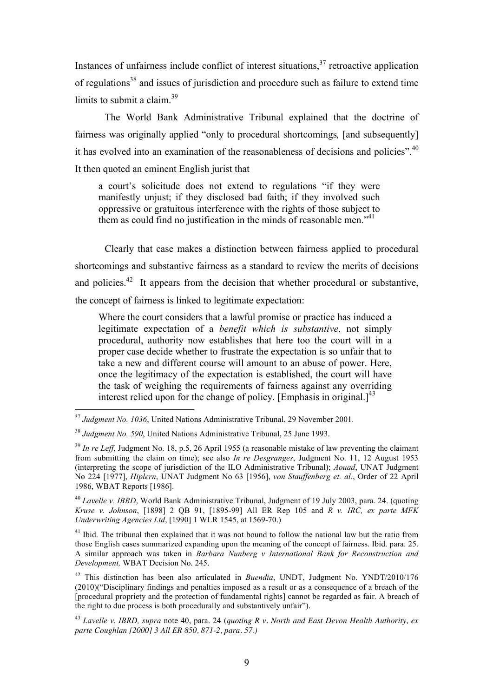Instances of unfairness include conflict of interest situations, $37$  retroactive application of regulations<sup>38</sup> and issues of jurisdiction and procedure such as failure to extend time limits to submit a claim. $39$ 

The World Bank Administrative Tribunal explained that the doctrine of fairness was originally applied "only to procedural shortcomings*,* [and subsequently] it has evolved into an examination of the reasonableness of decisions and policies".<sup>40</sup> It then quoted an eminent English jurist that

a court's solicitude does not extend to regulations "if they were manifestly unjust; if they disclosed bad faith; if they involved such oppressive or gratuitous interference with the rights of those subject to them as could find no justification in the minds of reasonable men."<sup>41</sup>

Clearly that case makes a distinction between fairness applied to procedural shortcomings and substantive fairness as a standard to review the merits of decisions and policies.<sup>42</sup> It appears from the decision that whether procedural or substantive, the concept of fairness is linked to legitimate expectation:

Where the court considers that a lawful promise or practice has induced a legitimate expectation of a *benefit which is substantive*, not simply procedural, authority now establishes that here too the court will in a proper case decide whether to frustrate the expectation is so unfair that to take a new and different course will amount to an abuse of power. Here, once the legitimacy of the expectation is established, the court will have the task of weighing the requirements of fairness against any overriding interest relied upon for the change of policy. [Emphasis in original.] $^{43}$ 

 $41$  Ibid. The tribunal then explained that it was not bound to follow the national law but the ratio from those English cases summarized expanding upon the meaning of the concept of fairness. Ibid. para. 25. A similar approach was taken in *Barbara Nunberg v International Bank for Reconstruction and Development,* WBAT Decision No. 245.

 <sup>37</sup> *Judgment No. 1036*, United Nations Administrative Tribunal, 29 November 2001.

<sup>38</sup> *Judgment No. 590*, United Nations Administrative Tribunal, 25 June 1993.

<sup>&</sup>lt;sup>39</sup> In re Leff, Judgment No. 18, p.5, 26 April 1955 (a reasonable mistake of law preventing the claimant from submitting the claim on time); see also *In re Desgranges*, Judgment No. 11, 12 August 1953 (interpreting the scope of jurisdiction of the ILO Administrative Tribunal); *Aouad*, UNAT Judgment No 224 [1977], *Hiplern*, UNAT Judgment No 63 [1956], *von Stauffenberg et. al*., Order of 22 April 1986, WBAT Reports [1986].

<sup>40</sup> *Lavelle v. IBRD*, World Bank Administrative Tribunal, Judgment of 19 July 2003, para. 24. (quoting *Kruse v. Johnson*, [1898] 2 QB 91, [1895-99] All ER Rep 105 and *R v. IRC, ex parte MFK Underwriting Agencies Ltd*, [1990] 1 WLR 1545, at 1569-70.)

<sup>42</sup> This distinction has been also articulated in *Buendia*, UNDT, Judgment No. YNDT/2010/176 (2010)("Disciplinary findings and penalties imposed as a result or as a consequence of a breach of the [procedural propriety and the protection of fundamental rights] cannot be regarded as fair. A breach of the right to due process is both procedurally and substantively unfair").

<sup>43</sup> *Lavelle v. IBRD, supra* note 40, para. 24 (*quoting R v. North and East Devon Health Authority, ex parte Coughlan [2000] 3 All ER 850, 871-2, para. 57.)*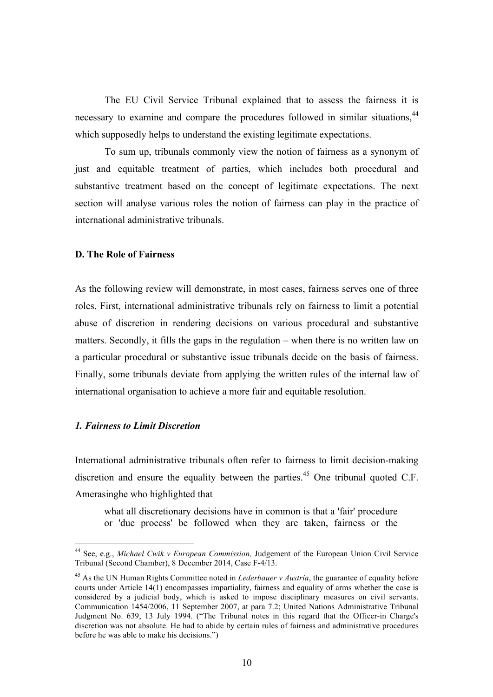The EU Civil Service Tribunal explained that to assess the fairness it is necessary to examine and compare the procedures followed in similar situations,<sup>44</sup> which supposedly helps to understand the existing legitimate expectations.

To sum up, tribunals commonly view the notion of fairness as a synonym of just and equitable treatment of parties, which includes both procedural and substantive treatment based on the concept of legitimate expectations. The next section will analyse various roles the notion of fairness can play in the practice of international administrative tribunals.

#### **D. The Role of Fairness**

As the following review will demonstrate, in most cases, fairness serves one of three roles. First, international administrative tribunals rely on fairness to limit a potential abuse of discretion in rendering decisions on various procedural and substantive matters. Secondly, it fills the gaps in the regulation – when there is no written law on a particular procedural or substantive issue tribunals decide on the basis of fairness. Finally, some tribunals deviate from applying the written rules of the internal law of international organisation to achieve a more fair and equitable resolution.

## *1. Fairness to Limit Discretion*

International administrative tribunals often refer to fairness to limit decision-making discretion and ensure the equality between the parties.<sup>45</sup> One tribunal quoted C.F. Amerasinghe who highlighted that

what all discretionary decisions have in common is that a 'fair' procedure or 'due process' be followed when they are taken, fairness or the

 <sup>44</sup> See, e.g., *Michael Cwik v European Commission,* Judgement of the European Union Civil Service Tribunal (Second Chamber), 8 December 2014, Case F‑4/13.

<sup>45</sup> As the UN Human Rights Committee noted in *Lederbauer v Austria*, the guarantee of equality before courts under Article 14(1) encompasses impartiality, fairness and equality of arms whether the case is considered by a judicial body, which is asked to impose disciplinary measures on civil servants. Communication 1454/2006, 11 September 2007, at para 7.2; United Nations Administrative Tribunal Judgment No. 639, 13 July 1994. ("The Tribunal notes in this regard that the Officer-in Charge's discretion was not absolute. He had to abide by certain rules of fairness and administrative procedures before he was able to make his decisions.")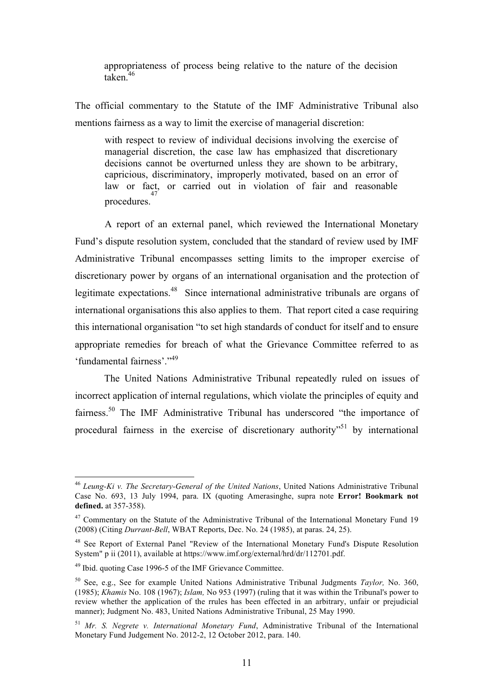appropriateness of process being relative to the nature of the decision taken.<sup>46</sup>

The official commentary to the Statute of the IMF Administrative Tribunal also mentions fairness as a way to limit the exercise of managerial discretion:

with respect to review of individual decisions involving the exercise of managerial discretion, the case law has emphasized that discretionary decisions cannot be overturned unless they are shown to be arbitrary, capricious, discriminatory, improperly motivated, based on an error of law or fact, or carried out in violation of fair and reasonable procedures. 47

A report of an external panel, which reviewed the International Monetary Fund's dispute resolution system, concluded that the standard of review used by IMF Administrative Tribunal encompasses setting limits to the improper exercise of discretionary power by organs of an international organisation and the protection of legitimate expectations.<sup>48</sup> Since international administrative tribunals are organs of international organisations this also applies to them. That report cited a case requiring this international organisation "to set high standards of conduct for itself and to ensure appropriate remedies for breach of what the Grievance Committee referred to as 'fundamental fairness'."<sup>49</sup>

The United Nations Administrative Tribunal repeatedly ruled on issues of incorrect application of internal regulations, which violate the principles of equity and fairness.<sup>50</sup> The IMF Administrative Tribunal has underscored "the importance of procedural fairness in the exercise of discretionary authority<sup>551</sup> by international

 <sup>46</sup> *Leung-Ki v. The Secretary-General of the United Nations*, United Nations Administrative Tribunal Case No. 693, 13 July 1994, para. IX (quoting Amerasinghe, supra note **Error! Bookmark not defined.** at 357-358).

<sup>&</sup>lt;sup>47</sup> Commentary on the Statute of the Administrative Tribunal of the International Monetary Fund 19 (2008) (Citing *Durrant-Bell*, WBAT Reports, Dec. No. 24 (1985), at paras. 24, 25).

<sup>&</sup>lt;sup>48</sup> See Report of External Panel "Review of the International Monetary Fund's Dispute Resolution System" p ii (2011), available at https://www.imf.org/external/hrd/dr/112701.pdf.

<sup>49</sup> Ibid. quoting Case 1996-5 of the IMF Grievance Committee.

<sup>50</sup> See, e.g., See for example United Nations Administrative Tribunal Judgments *Taylor,* No. 360, (1985); *Khamis* No. 108 (1967); *Islam,* No 953 (1997) (ruling that it was within the Tribunal's power to review whether the application of the rrules has been effected in an arbitrary, unfair or prejudicial manner); Judgment No. 483, United Nations Administrative Tribunal, 25 May 1990.

<sup>51</sup> *Mr. S. Negrete v. International Monetary Fund*, Administrative Tribunal of the International Monetary Fund Judgement No. 2012-2, 12 October 2012, para. 140.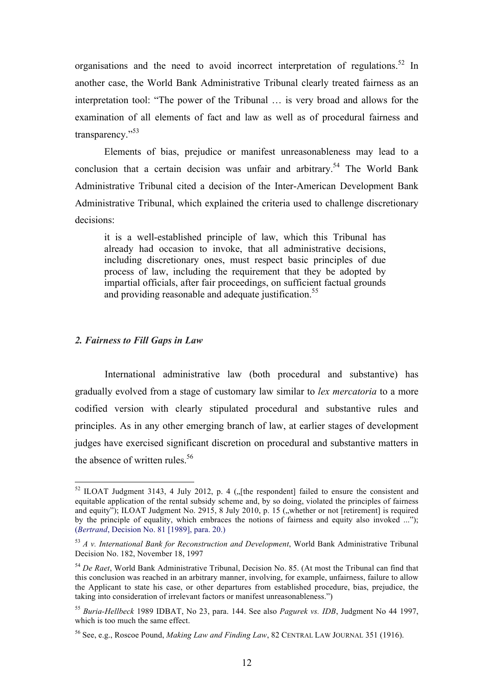organisations and the need to avoid incorrect interpretation of regulations.<sup>52</sup> In another case, the World Bank Administrative Tribunal clearly treated fairness as an interpretation tool: "The power of the Tribunal … is very broad and allows for the examination of all elements of fact and law as well as of procedural fairness and transparency."53

Elements of bias, prejudice or manifest unreasonableness may lead to a conclusion that a certain decision was unfair and arbitrary.<sup>54</sup> The World Bank Administrative Tribunal cited a decision of the Inter-American Development Bank Administrative Tribunal, which explained the criteria used to challenge discretionary decisions:

it is a well-established principle of law, which this Tribunal has already had occasion to invoke, that all administrative decisions, including discretionary ones, must respect basic principles of due process of law, including the requirement that they be adopted by impartial officials, after fair proceedings, on sufficient factual grounds and providing reasonable and adequate justification.<sup>55</sup>

## *2. Fairness to Fill Gaps in Law*

International administrative law (both procedural and substantive) has gradually evolved from a stage of customary law similar to *lex mercatoria* to a more codified version with clearly stipulated procedural and substantive rules and principles. As in any other emerging branch of law, at earlier stages of development judges have exercised significant discretion on procedural and substantive matters in the absence of written rules.<sup>56</sup>

 $52$  ILOAT Judgment 3143, 4 July 2012, p. 4 ( $\sqrt{ }$ [the respondent] failed to ensure the consistent and equitable application of the rental subsidy scheme and, by so doing, violated the principles of fairness and equity"); ILOAT Judgment No. 2915, 8 July 2010, p. 15 ("whether or not [retirement] is required by the principle of equality, which embraces the notions of fairness and equity also invoked ..."); (*Bertrand*, Decision No. 81 [1989], para. 20.)

<sup>53</sup> *A v. International Bank for Reconstruction and Development*, World Bank Administrative Tribunal Decision No. 182, November 18, 1997

<sup>54</sup> *De Raet*, World Bank Administrative Tribunal, Decision No. 85. (At most the Tribunal can find that this conclusion was reached in an arbitrary manner, involving, for example, unfairness, failure to allow the Applicant to state his case, or other departures from established procedure, bias, prejudice, the taking into consideration of irrelevant factors or manifest unreasonableness.")

<sup>55</sup> *Buria-Hellbeck* 1989 IDBAT, No 23, para. 144. See also *Pagurek vs. IDB*, Judgment No 44 1997, which is too much the same effect.

<sup>56</sup> See, e.g., Roscoe Pound, *Making Law and Finding Law*, 82 CENTRAL LAW JOURNAL 351 (1916).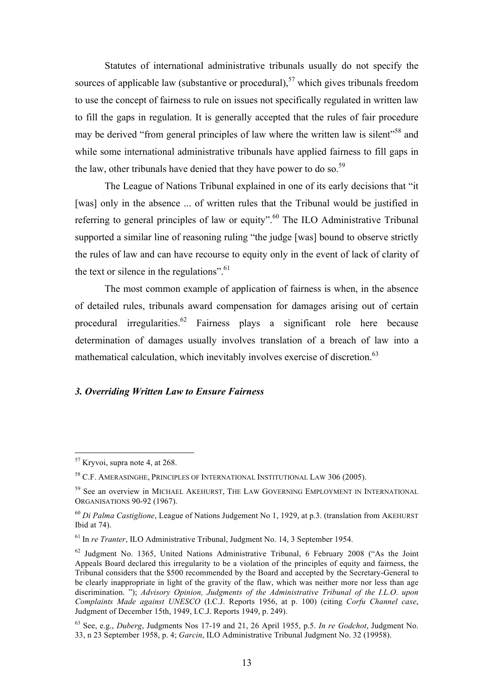Statutes of international administrative tribunals usually do not specify the sources of applicable law (substantive or procedural),<sup>57</sup> which gives tribunals freedom to use the concept of fairness to rule on issues not specifically regulated in written law to fill the gaps in regulation. It is generally accepted that the rules of fair procedure may be derived "from general principles of law where the written law is silent"<sup>58</sup> and while some international administrative tribunals have applied fairness to fill gaps in the law, other tribunals have denied that they have power to do so.<sup>59</sup>

The League of Nations Tribunal explained in one of its early decisions that "it [was] only in the absence ... of written rules that the Tribunal would be justified in referring to general principles of law or equity".<sup>60</sup> The ILO Administrative Tribunal supported a similar line of reasoning ruling "the judge [was] bound to observe strictly the rules of law and can have recourse to equity only in the event of lack of clarity of the text or silence in the regulations". $61$ 

The most common example of application of fairness is when, in the absence of detailed rules, tribunals award compensation for damages arising out of certain procedural irregularities.62 Fairness plays a significant role here because determination of damages usually involves translation of a breach of law into a mathematical calculation, which inevitably involves exercise of discretion.<sup>63</sup>

#### *3. Overriding Written Law to Ensure Fairness*

 <sup>57</sup> Kryvoi, supra note 4, at 268.

<sup>58</sup> C.F. AMERASINGHE, PRINCIPLES OF INTERNATIONAL INSTITUTIONAL LAW 306 (2005).

<sup>59</sup> See an overview in MICHAEL AKEHURST, THE LAW GOVERNING EMPLOYMENT IN INTERNATIONAL ORGANISATIONS 90-92 (1967).

<sup>60</sup> *Di Palma Castiglione*, League of Nations Judgement No 1, 1929, at p.3. (translation from AKEHURST Ibid at 74).

<sup>61</sup> In *re Tranter*, ILO Administrative Tribunal, Judgment No. 14, 3 September 1954.

<sup>&</sup>lt;sup>62</sup> Judgment No. 1365, United Nations Administrative Tribunal, 6 February 2008 ("As the Joint Appeals Board declared this irregularity to be a violation of the principles of equity and fairness, the Tribunal considers that the \$500 recommended by the Board and accepted by the Secretary-General to be clearly inappropriate in light of the gravity of the flaw, which was neither more nor less than age discrimination. "); *Advisory Opinion, Judgments of the Administrative Tribunal of the I.L.O. upon Complaints Made against UNESCO* (I.C.J. Reports 1956, at p. 100) (citing *Corfu Channel case*, Judgment of December 15th, 1949, I.C.J. Reports 1949, p. 249).

<sup>63</sup> See, e.g., *Duberg*, Judgments Nos 17-19 and 21, 26 April 1955, p.5. *In re Godchot*, Judgment No. 33, n 23 September 1958, p. 4; *Garcin*, ILO Administrative Tribunal Judgment No. 32 (19958).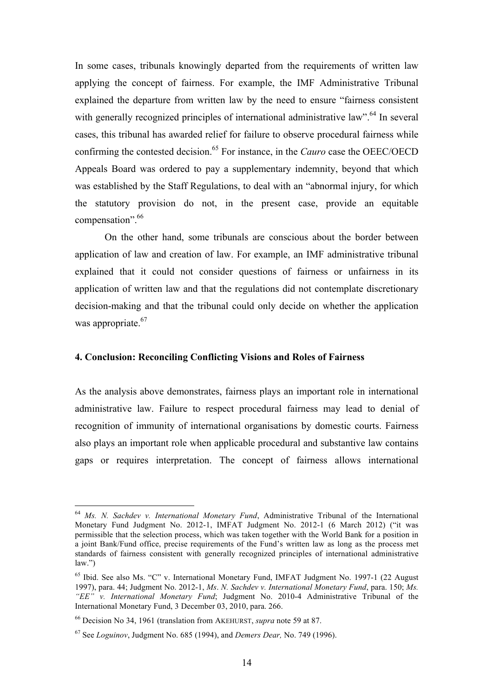In some cases, tribunals knowingly departed from the requirements of written law applying the concept of fairness. For example, the IMF Administrative Tribunal explained the departure from written law by the need to ensure "fairness consistent with generally recognized principles of international administrative law".<sup>64</sup> In several cases, this tribunal has awarded relief for failure to observe procedural fairness while confirming the contested decision.<sup>65</sup> For instance, in the *Cauro* case the OEEC/OECD Appeals Board was ordered to pay a supplementary indemnity, beyond that which was established by the Staff Regulations, to deal with an "abnormal injury, for which the statutory provision do not, in the present case, provide an equitable compensation". 66

On the other hand, some tribunals are conscious about the border between application of law and creation of law. For example, an IMF administrative tribunal explained that it could not consider questions of fairness or unfairness in its application of written law and that the regulations did not contemplate discretionary decision-making and that the tribunal could only decide on whether the application was appropriate.<sup>67</sup>

## **4. Conclusion: Reconciling Conflicting Visions and Roles of Fairness**

As the analysis above demonstrates, fairness plays an important role in international administrative law. Failure to respect procedural fairness may lead to denial of recognition of immunity of international organisations by domestic courts. Fairness also plays an important role when applicable procedural and substantive law contains gaps or requires interpretation. The concept of fairness allows international

 <sup>64</sup> *Ms. N. Sachdev v. International Monetary Fund*, Administrative Tribunal of the International Monetary Fund Judgment No. 2012-1, IMFAT Judgment No. 2012-1 (6 March 2012) ("it was permissible that the selection process, which was taken together with the World Bank for a position in a joint Bank/Fund office, precise requirements of the Fund's written law as long as the process met standards of fairness consistent with generally recognized principles of international administrative law.")

<sup>&</sup>lt;sup>65</sup> Ibid. See also Ms. "C" v. International Monetary Fund, IMFAT Judgment No. 1997-1 (22 August 1997), para. 44; Judgment No. 2012-1, *Ms*. *N. Sachdev v. International Monetary Fund*, para. 150; *Ms. "EE" v. International Monetary Fund*; Judgment No. 2010-4 Administrative Tribunal of the International Monetary Fund, 3 December 03, 2010, para. 266.

<sup>66</sup> Decision No 34, 1961 (translation from AKEHURST, *supra* note 59 at 87.

<sup>67</sup> See *Loguinov*, Judgment No. 685 (1994), and *Demers Dear,* No. 749 (1996).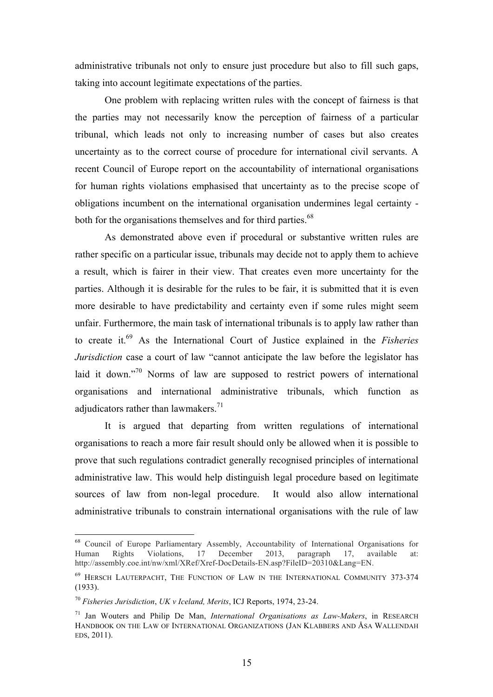administrative tribunals not only to ensure just procedure but also to fill such gaps, taking into account legitimate expectations of the parties.

One problem with replacing written rules with the concept of fairness is that the parties may not necessarily know the perception of fairness of a particular tribunal, which leads not only to increasing number of cases but also creates uncertainty as to the correct course of procedure for international civil servants. A recent Council of Europe report on the accountability of international organisations for human rights violations emphasised that uncertainty as to the precise scope of obligations incumbent on the international organisation undermines legal certainty both for the organisations themselves and for third parties.<sup>68</sup>

As demonstrated above even if procedural or substantive written rules are rather specific on a particular issue, tribunals may decide not to apply them to achieve a result, which is fairer in their view. That creates even more uncertainty for the parties. Although it is desirable for the rules to be fair, it is submitted that it is even more desirable to have predictability and certainty even if some rules might seem unfair. Furthermore, the main task of international tribunals is to apply law rather than to create it.69 As the International Court of Justice explained in the *Fisheries Jurisdiction* case a court of law "cannot anticipate the law before the legislator has laid it down."<sup>70</sup> Norms of law are supposed to restrict powers of international organisations and international administrative tribunals, which function as adjudicators rather than lawmakers. $71$ 

It is argued that departing from written regulations of international organisations to reach a more fair result should only be allowed when it is possible to prove that such regulations contradict generally recognised principles of international administrative law. This would help distinguish legal procedure based on legitimate sources of law from non-legal procedure. It would also allow international administrative tribunals to constrain international organisations with the rule of law

<sup>&</sup>lt;sup>68</sup> Council of Europe Parliamentary Assembly, Accountability of International Organisations for Human Rights Violations, 17 December 2013, paragraph 17, available at: http://assembly.coe.int/nw/xml/XRef/Xref-DocDetails-EN.asp?FileID=20310&Lang=EN.

<sup>69</sup> HERSCH LAUTERPACHT, THE FUNCTION OF LAW IN THE INTERNATIONAL COMMUNITY 373-374 (1933).

<sup>70</sup> *Fisheries Jurisdiction*, *UK v Iceland, Merits*, ICJ Reports, 1974, 23-24.

<sup>71</sup> Jan Wouters and Philip De Man, *International Organisations as Law-Makers*, in RESEARCH HANDBOOK ON THE LAW OF INTERNATIONAL ORGANIZATIONS (JAN KLABBERS AND ÅSA WALLENDAH EDS, 2011).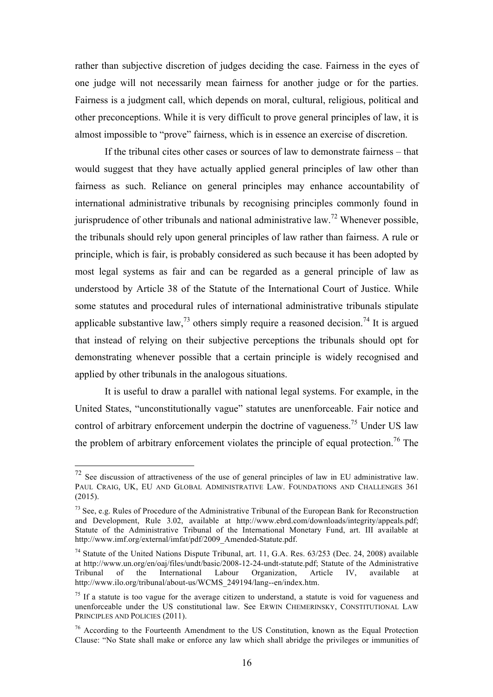rather than subjective discretion of judges deciding the case. Fairness in the eyes of one judge will not necessarily mean fairness for another judge or for the parties. Fairness is a judgment call, which depends on moral, cultural, religious, political and other preconceptions. While it is very difficult to prove general principles of law, it is almost impossible to "prove" fairness, which is in essence an exercise of discretion.

If the tribunal cites other cases or sources of law to demonstrate fairness – that would suggest that they have actually applied general principles of law other than fairness as such. Reliance on general principles may enhance accountability of international administrative tribunals by recognising principles commonly found in jurisprudence of other tribunals and national administrative law.<sup>72</sup> Whenever possible, the tribunals should rely upon general principles of law rather than fairness. A rule or principle, which is fair, is probably considered as such because it has been adopted by most legal systems as fair and can be regarded as a general principle of law as understood by Article 38 of the Statute of the International Court of Justice. While some statutes and procedural rules of international administrative tribunals stipulate applicable substantive law.<sup>73</sup> others simply require a reasoned decision.<sup>74</sup> It is argued that instead of relying on their subjective perceptions the tribunals should opt for demonstrating whenever possible that a certain principle is widely recognised and applied by other tribunals in the analogous situations.

It is useful to draw a parallel with national legal systems. For example, in the United States, "unconstitutionally vague" statutes are unenforceable. Fair notice and control of arbitrary enforcement underpin the doctrine of vagueness.<sup>75</sup> Under US law the problem of arbitrary enforcement violates the principle of equal protection.<sup>76</sup> The

 $72$  See discussion of attractiveness of the use of general principles of law in EU administrative law. PAUL CRAIG, UK, EU AND GLOBAL ADMINISTRATIVE LAW. FOUNDATIONS AND CHALLENGES 361 (2015).

 $<sup>73</sup>$  See, e.g. Rules of Procedure of the Administrative Tribunal of the European Bank for Reconstruction</sup> and Development, Rule 3.02, available at http://www.ebrd.com/downloads/integrity/appeals.pdf; Statute of the Administrative Tribunal of the International Monetary Fund, art. III available at http://www.imf.org/external/imfat/pdf/2009\_Amended-Statute.pdf.

<sup>&</sup>lt;sup>74</sup> Statute of the United Nations Dispute Tribunal, art. 11, G.A. Res. 63/253 (Dec. 24, 2008) available at http://www.un.org/en/oaj/files/undt/basic/2008-12-24-undt-statute.pdf; Statute of the Administrative Tribunal of the International Labour Organization, Article IV, available at http://www.ilo.org/tribunal/about-us/WCMS\_249194/lang--en/index.htm.

 $75$  If a statute is too vague for the average citizen to understand, a statute is void for vagueness and unenforceable under the US constitutional law. See ERWIN CHEMERINSKY, CONSTITUTIONAL LAW PRINCIPLES AND POLICIES (2011).

<sup>76</sup> According to the Fourteenth Amendment to the US Constitution, known as the Equal Protection Clause: "No State shall make or enforce any law which shall abridge the privileges or immunities of